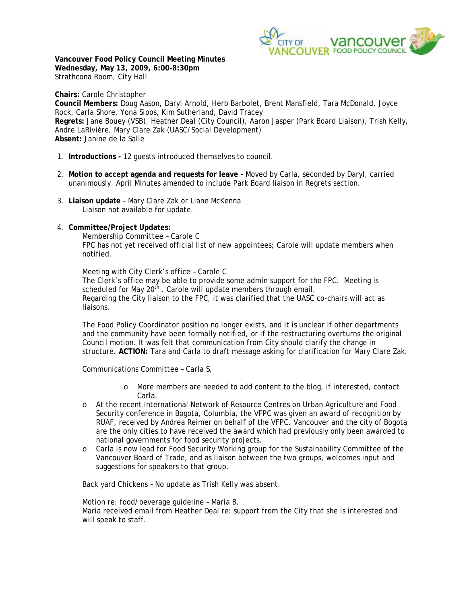

**Vancouver Food Policy Council Meeting Minutes Wednesday, May 13, 2009, 6:00-8:30pm**  Strathcona Room, City Hall

**Chairs:** Carole Christopher **Council Members:** Doug Aason, Daryl Arnold, Herb Barbolet, Brent Mansfield, Tara McDonald, Joyce Rock, Carla Shore, Yona Sipos, Kim Sutherland, David Tracey **Regrets:** Jane Bouey (VSB), Heather Deal (City Council), Aaron Jasper (Park Board Liaison), Trish Kelly, Andre LaRivière, Mary Clare Zak (UASC/Social Development) **Absent:** Janine de la Salle

- 1. **Introductions** 12 guests introduced themselves to council.
- 2. **Motion to accept agenda and requests for leave** Moved by Carla, seconded by Daryl, carried unanimously. April Minutes amended to include Park Board liaison in Regrets section.
- 3. **Liaison update** Mary Clare Zak or Liane McKenna Liaison not available for update.
- 4. **Committee/Project Updates:**

Membership Committee – Carole C FPC has not yet received official list of new appointees; Carole will update members when notified.

Meeting with City Clerk's office – Carole C The Clerk's office may be able to provide some admin support for the FPC. Meeting is scheduled for May 20<sup>th</sup>. Carole will update members through email. Regarding the City liaison to the FPC, it was clarified that the UASC co-chairs will act as liaisons.

The Food Policy Coordinator position no longer exists, and it is unclear if other departments and the community have been formally notified, or if the restructuring overturns the original Council motion. It was felt that communication from City should clarify the change in structure. **ACTION:** Tara and Carla to draft message asking for clarification for Mary Clare Zak.

Communications Committee – Carla S,

- o More members are needed to add content to the blog, if interested, contact Carla.
- o At the recent International Network of Resource Centres on Urban Agriculture and Food Security conference in Bogota, Columbia, the VFPC was given an award of recognition by RUAF, received by Andrea Reimer on behalf of the VFPC. Vancouver and the city of Bogota are the only cities to have received the award which had previously only been awarded to national governments for food security projects.
- o Carla is now lead for Food Security Working group for the Sustainability Committee of the Vancouver Board of Trade, and as liaison between the two groups, welcomes input and suggestions for speakers to that group.

Back yard Chickens – No update as Trish Kelly was absent.

Motion re: food/beverage guideline – Maria B. Maria received email from Heather Deal re: support from the City that she is interested and will speak to staff.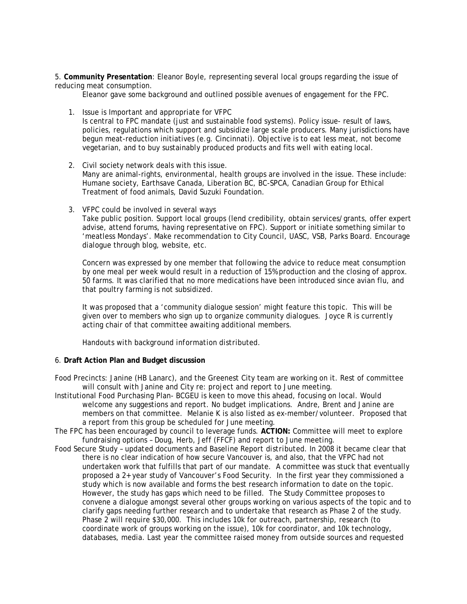5. **Community Presentation**: Eleanor Boyle, representing several local groups regarding the issue of reducing meat consumption.

Eleanor gave some background and outlined possible avenues of engagement for the FPC.

1. Issue is Important and appropriate for VFPC

Is central to FPC mandate (just and sustainable food systems). Policy issue- result of laws, policies, regulations which support and subsidize large scale producers. Many jurisdictions have begun meat-reduction initiatives (e.g. Cincinnati). Objective is to eat less meat, not become vegetarian, and to buy sustainably produced products and fits well with eating local.

- 2. Civil society network deals with this issue. Many are animal-rights, environmental, health groups are involved in the issue. These include: Humane society, Earthsave Canada, Liberation BC, BC-SPCA, Canadian Group for Ethical Treatment of food animals, David Suzuki Foundation.
- 3. VFPC could be involved in several ways

Take public position. Support local groups (lend credibility, obtain services/grants, offer expert advise, attend forums, having representative on FPC). Support or initiate something similar to 'meatless Mondays'. Make recommendation to City Council, UASC, VSB, Parks Board. Encourage dialogue through blog, website, etc.

Concern was expressed by one member that following the advice to reduce meat consumption by one meal per week would result in a reduction of 15% production and the closing of approx. 50 farms. It was clarified that no more medications have been introduced since avian flu, and that poultry farming is not subsidized.

It was proposed that a 'community dialogue session' might feature this topic. This will be given over to members who sign up to organize community dialogues. Joyce R is currently acting chair of that committee awaiting additional members.

*Handouts with background information distributed.* 

# 6. **Draft Action Plan and Budget discussion**

- Food Precincts: Janine (HB Lanarc), and the Greenest City team are working on it. Rest of committee will consult with Janine and City re: project and report to June meeting.
- Institutional Food Purchasing Plan- BCGEU is keen to move this ahead, focusing on local. Would welcome any suggestions and report. No budget implications. Andre, Brent and Janine are members on that committee. Melanie K is also listed as ex-member/volunteer. Proposed that a report from this group be scheduled for June meeting.
- The FPC has been encouraged by council to leverage funds. **ACTION:** Committee will meet to explore fundraising options – Doug, Herb, Jeff (FFCF) and report to June meeting.
- Food Secure Study – *updated documents and Baseline Report distributed*. In 2008 it became clear that there is no clear indication of how secure Vancouver is, and also, that the VFPC had not undertaken work that fulfills that part of our mandate. A committee was stuck that eventually proposed a 2+ year study of Vancouver's Food Security. In the first year they commissioned a study which is now available and forms the best research information to date on the topic. However, the study has gaps which need to be filled. The Study Committee proposes to convene a dialogue amongst several other groups working on various aspects of the topic and to clarify gaps needing further research and to undertake that research as Phase 2 of the study. Phase 2 will require \$30,000. This includes 10k for outreach, partnership, research (to coordinate work of groups working on the issue), 10k for coordinator, and 10k technology, databases, media. Last year the committee raised money from outside sources and requested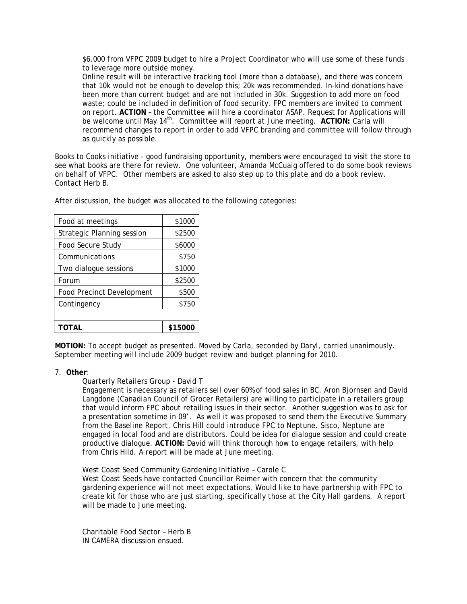\$6,000 from VFPC 2009 budget to hire a Project Coordinator who will use some of these funds to leverage more outside money.

 Online result will be interactive tracking tool (more than a database), and there was concern that 10k would not be enough to develop this; 20k was recommended. In-kind donations have been more than current budget and are not included in 30k. Suggestion to add more on food waste; could be included in definition of food security. FPC members are invited to comment on report. **ACTION** – the Committee will hire a coordinator ASAP. Request for Applications will be welcome until May 14<sup>th</sup>. Committee will report at June meeting. ACTION: Carla will recommend changes to report in order to add VFPC branding and committee will follow through as quickly as possible.

Books to Cooks initiative - good fundraising opportunity, members were encouraged to visit the store to see what books are there for review. One volunteer, Amanda McCuaig offered to do some book reviews on behalf of VFPC. Other members are asked to also step up to this plate and do a book review. Contact Herb B.

After discussion, the budget was allocated to the following categories:

| Food at meetings                  | \$1000  |
|-----------------------------------|---------|
| <b>Strategic Planning session</b> | \$2500  |
| Food Secure Study                 | \$6000  |
| Communications                    | \$750   |
| Two dialogue sessions             | \$1000  |
| Forum                             | \$2500  |
| <b>Food Precinct Development</b>  | \$500   |
| Contingency                       | \$750   |
|                                   |         |
| TOTAL                             | \$15000 |

**MOTION:** To accept budget as presented. Moved by Carla, seconded by Daryl, carried unanimously. September meeting will include 2009 budget review and budget planning for 2010.

# 7. **Other**:

Quarterly Retailers Group - David T

Engagement is necessary as retailers sell over 60% of food sales in BC. Aron Bjornsen and David Langdone (Canadian Council of Grocer Retailers) are willing to participate in a retailers group that would inform FPC about retailing issues in their sector. Another suggestion was to ask for a presentation sometime in 09'. As well it was proposed to send them the Executive Summary from the Baseline Report. Chris Hill could introduce FPC to Neptune. Sisco, Neptune are engaged in local food and are distributors. Could be idea for dialogue session and could create productive dialogue. **ACTION:** David will think thorough how to engage retailers, with help from Chris Hild. A report will be made at June meeting.

 West Coast Seed Community Gardening Initiative – Carole C West Coast Seeds have contacted Councillor Reimer with concern that the community gardening experience will not meet expectations. Would like to have partnership with FPC to create kit for those who are just starting, specifically those at the City Hall gardens. A report will be made to June meeting.

 Charitable Food Sector – Herb B IN CAMERA discussion ensued.